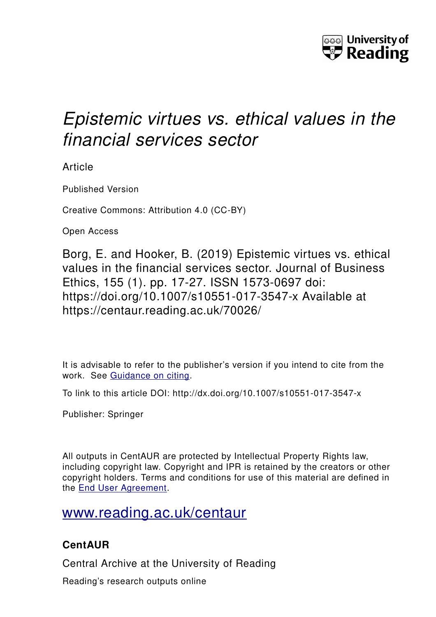

# *Epistemic virtues vs. ethical values in the financial services sector*

Article

Published Version

Creative Commons: Attribution 4.0 (CC-BY)

Open Access

Borg, E. and Hooker, B. (2019) Epistemic virtues vs. ethical values in the financial services sector. Journal of Business Ethics, 155 (1). pp. 17-27. ISSN 1573-0697 doi: https://doi.org/10.1007/s10551-017-3547-x Available at https://centaur.reading.ac.uk/70026/

It is advisable to refer to the publisher's version if you intend to cite from the work. See [Guidance on citing.](http://centaur.reading.ac.uk/71187/10/CentAUR%20citing%20guide.pdf)

To link to this article DOI: http://dx.doi.org/10.1007/s10551-017-3547-x

Publisher: Springer

All outputs in CentAUR are protected by Intellectual Property Rights law, including copyright law. Copyright and IPR is retained by the creators or other copyright holders. Terms and conditions for use of this material are defined in the [End User Agreement.](http://centaur.reading.ac.uk/licence)

# [www.reading.ac.uk/centaur](http://www.reading.ac.uk/centaur)

## **CentAUR**

Central Archive at the University of Reading

Reading's research outputs online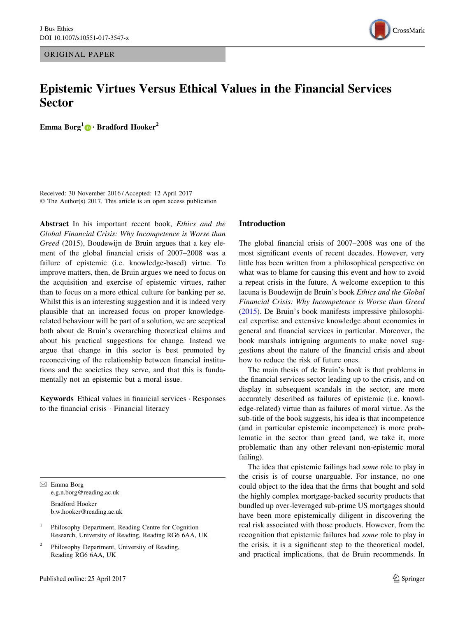ORIGINAL PAPER



### Epistemic Virtues Versus Ethical Values in the Financial Services Sector

Emma Borg<sup>1</sup> [•](http://orcid.org/0000-0003-2725-9568) Bradford Hooker<sup>2</sup>

Received: 30 November 2016 / Accepted: 12 April 2017 © The Author(s) 2017. This article is an open access publication

Abstract In his important recent book, *Ethics and the* Global Financial Crisis: Why Incompetence is Worse than Greed (2015), Boudewijn de Bruin argues that a key element of the global financial crisis of 2007–2008 was a failure of epistemic (i.e. knowledge-based) virtue. To improve matters, then, de Bruin argues we need to focus on the acquisition and exercise of epistemic virtues, rather than to focus on a more ethical culture for banking per se. Whilst this is an interesting suggestion and it is indeed very plausible that an increased focus on proper knowledgerelated behaviour will be part of a solution, we are sceptical both about de Bruin's overarching theoretical claims and about his practical suggestions for change. Instead we argue that change in this sector is best promoted by reconceiving of the relationship between financial institutions and the societies they serve, and that this is fundamentally not an epistemic but a moral issue.

Keywords Ethical values in financial services - Responses to the financial crisis - Financial literacy

& Emma Borg e.g.n.borg@reading.ac.uk Bradford Hooker b.w.hooker@reading.ac.uk

#### Introduction

The global financial crisis of 2007–2008 was one of the most significant events of recent decades. However, very little has been written from a philosophical perspective on what was to blame for causing this event and how to avoid a repeat crisis in the future. A welcome exception to this lacuna is Boudewijn de Bruin's book Ethics and the Global Financial Crisis: Why Incompetence is Worse than Greed [\(2015](#page-11-0)). De Bruin's book manifests impressive philosophical expertise and extensive knowledge about economics in general and financial services in particular. Moreover, the book marshals intriguing arguments to make novel suggestions about the nature of the financial crisis and about how to reduce the risk of future ones.

The main thesis of de Bruin's book is that problems in the financial services sector leading up to the crisis, and on display in subsequent scandals in the sector, are more accurately described as failures of epistemic (i.e. knowledge-related) virtue than as failures of moral virtue. As the sub-title of the book suggests, his idea is that incompetence (and in particular epistemic incompetence) is more problematic in the sector than greed (and, we take it, more problematic than any other relevant non-epistemic moral failing).

The idea that epistemic failings had some role to play in the crisis is of course unarguable. For instance, no one could object to the idea that the firms that bought and sold the highly complex mortgage-backed security products that bundled up over-leveraged sub-prime US mortgages should have been more epistemically diligent in discovering the real risk associated with those products. However, from the recognition that epistemic failures had some role to play in the crisis, it is a significant step to the theoretical model, and practical implications, that de Bruin recommends. In

<sup>1</sup> Philosophy Department, Reading Centre for Cognition Research, University of Reading, Reading RG6 6AA, UK

<sup>&</sup>lt;sup>2</sup> Philosophy Department, University of Reading, Reading RG6 6AA, UK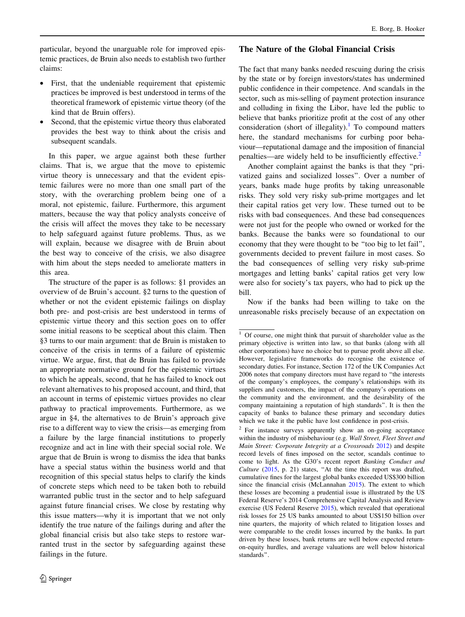particular, beyond the unarguable role for improved epistemic practices, de Bruin also needs to establish two further claims:

- First, that the undeniable requirement that epistemic practices be improved is best understood in terms of the theoretical framework of epistemic virtue theory (of the kind that de Bruin offers).
- Second, that the epistemic virtue theory thus elaborated provides the best way to think about the crisis and subsequent scandals.

In this paper, we argue against both these further claims. That is, we argue that the move to epistemic virtue theory is unnecessary and that the evident epistemic failures were no more than one small part of the story, with the overarching problem being one of a moral, not epistemic, failure. Furthermore, this argument matters, because the way that policy analysts conceive of the crisis will affect the moves they take to be necessary to help safeguard against future problems. Thus, as we will explain, because we disagree with de Bruin about the best way to conceive of the crisis, we also disagree with him about the steps needed to ameliorate matters in this area.

The structure of the paper is as follows: §1 provides an overview of de Bruin's account. §2 turns to the question of whether or not the evident epistemic failings on display both pre- and post-crisis are best understood in terms of epistemic virtue theory and this section goes on to offer some initial reasons to be sceptical about this claim. Then §3 turns to our main argument: that de Bruin is mistaken to conceive of the crisis in terms of a failure of epistemic virtue. We argue, first, that de Bruin has failed to provide an appropriate normative ground for the epistemic virtues to which he appeals, second, that he has failed to knock out relevant alternatives to his proposed account, and third, that an account in terms of epistemic virtues provides no clear pathway to practical improvements. Furthermore, as we argue in §4, the alternatives to de Bruin's approach give rise to a different way to view the crisis—as emerging from a failure by the large financial institutions to properly recognize and act in line with their special social role. We argue that de Bruin is wrong to dismiss the idea that banks have a special status within the business world and that recognition of this special status helps to clarify the kinds of concrete steps which need to be taken both to rebuild warranted public trust in the sector and to help safeguard against future financial crises. We close by restating why this issue matters—why it is important that we not only identify the true nature of the failings during and after the global financial crisis but also take steps to restore warranted trust in the sector by safeguarding against these failings in the future.

#### The Nature of the Global Financial Crisis

The fact that many banks needed rescuing during the crisis by the state or by foreign investors/states has undermined public confidence in their competence. And scandals in the sector, such as mis-selling of payment protection insurance and colluding in fixing the Libor, have led the public to believe that banks prioritize profit at the cost of any other consideration (short of illegality).<sup>1</sup> To compound matters here, the standard mechanisms for curbing poor behaviour—reputational damage and the imposition of financial penalties—are widely held to be insufficiently effective.<sup>2</sup>

Another complaint against the banks is that they ''privatized gains and socialized losses''. Over a number of years, banks made huge profits by taking unreasonable risks. They sold very risky sub-prime mortgages and let their capital ratios get very low. These turned out to be risks with bad consequences. And these bad consequences were not just for the people who owned or worked for the banks. Because the banks were so foundational to our economy that they were thought to be ''too big to let fail'', governments decided to prevent failure in most cases. So the bad consequences of selling very risky sub-prime mortgages and letting banks' capital ratios get very low were also for society's tax payers, who had to pick up the bill.

Now if the banks had been willing to take on the unreasonable risks precisely because of an expectation on

<sup>&</sup>lt;sup>1</sup> Of course, one might think that pursuit of shareholder value as the primary objective is written into law, so that banks (along with all other corporations) have no choice but to pursue profit above all else. However, legislative frameworks do recognise the existence of secondary duties. For instance, Section 172 of the UK Companies Act 2006 notes that company directors must have regard to ''the interests of the company's employees, the company's relationships with its suppliers and customers, the impact of the company's operations on the community and the environment, and the desirability of the company maintaining a reputation of high standards''. It is then the capacity of banks to balance these primary and secondary duties which we take it the public have lost confidence in post-crisis.

<sup>&</sup>lt;sup>2</sup> For instance surveys apparently show an on-going acceptance within the industry of misbehaviour (e.g. Wall Street, Fleet Street and Main Street: Corporate Integrity at a Crossroads [2012](#page-11-0)) and despite record levels of fines imposed on the sector, scandals continue to come to light. As the G30's recent report Banking Conduct and Culture ([2015,](#page-11-0) p. 21) states, "At the time this report was drafted, cumulative fines for the largest global banks exceeded US\$300 billion since the financial crisis (McLannahan [2015\)](#page-11-0). The extent to which these losses are becoming a prudential issue is illustrated by the US Federal Reserve's 2014 Comprehensive Capital Analysis and Review exercise (US Federal Reserve [2015](#page-11-0)), which revealed that operational risk losses for 25 US banks amounted to about US\$150 billion over nine quarters, the majority of which related to litigation losses and were comparable to the credit losses incurred by the banks. In part driven by these losses, bank returns are well below expected returnon-equity hurdles, and average valuations are well below historical standards''.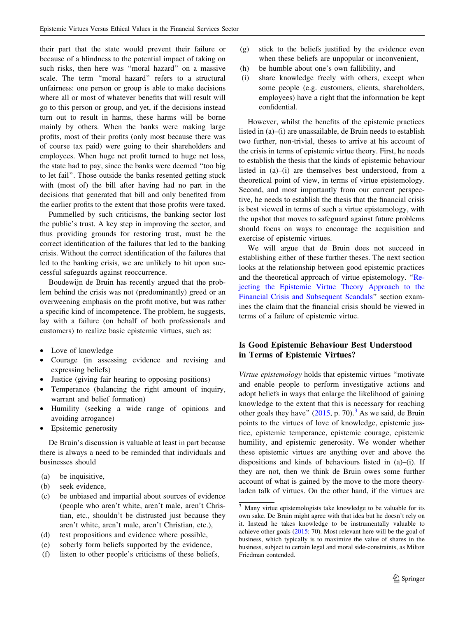their part that the state would prevent their failure or because of a blindness to the potential impact of taking on such risks, then here was ''moral hazard'' on a massive scale. The term ''moral hazard'' refers to a structural unfairness: one person or group is able to make decisions where all or most of whatever benefits that will result will go to this person or group, and yet, if the decisions instead turn out to result in harms, these harms will be borne mainly by others. When the banks were making large profits, most of their profits (only most because there was of course tax paid) were going to their shareholders and employees. When huge net profit turned to huge net loss, the state had to pay, since the banks were deemed ''too big to let fail''. Those outside the banks resented getting stuck with (most of) the bill after having had no part in the decisions that generated that bill and only benefited from the earlier profits to the extent that those profits were taxed.

Pummelled by such criticisms, the banking sector lost the public's trust. A key step in improving the sector, and thus providing grounds for restoring trust, must be the correct identification of the failures that led to the banking crisis. Without the correct identification of the failures that led to the banking crisis, we are unlikely to hit upon successful safeguards against reoccurrence.

Boudewijn de Bruin has recently argued that the problem behind the crisis was not (predominantly) greed or an overweening emphasis on the profit motive, but was rather a specific kind of incompetence. The problem, he suggests, lay with a failure (on behalf of both professionals and customers) to realize basic epistemic virtues, such as:

- Love of knowledge
- Courage (in assessing evidence and revising and expressing beliefs)
- Justice (giving fair hearing to opposing positions)
- Temperance (balancing the right amount of inquiry, warrant and belief formation)
- Humility (seeking a wide range of opinions and avoiding arrogance)
- Epsitemic generosity

De Bruin's discussion is valuable at least in part because there is always a need to be reminded that individuals and businesses should

- (a) be inquisitive,
- (b) seek evidence,
- (c) be unbiased and impartial about sources of evidence (people who aren't white, aren't male, aren't Christian, etc., shouldn't be distrusted just because they aren't white, aren't male, aren't Christian, etc.),
- (d) test propositions and evidence where possible,
- (e) soberly form beliefs supported by the evidence,
- (f) listen to other people's criticisms of these beliefs,
- (g) stick to the beliefs justified by the evidence even when these beliefs are unpopular or inconvenient,
- (h) be humble about one's own fallibility, and
- (i) share knowledge freely with others, except when some people (e.g. customers, clients, shareholders, employees) have a right that the information be kept confidential.

However, whilst the benefits of the epistemic practices listed in (a)–(i) are unassailable, de Bruin needs to establish two further, non-trivial, theses to arrive at his account of the crisis in terms of epistemic virtue theory. First, he needs to establish the thesis that the kinds of epistemic behaviour listed in (a)–(i) are themselves best understood, from a theoretical point of view, in terms of virtue epistemology. Second, and most importantly from our current perspective, he needs to establish the thesis that the financial crisis is best viewed in terms of such a virtue epistemology, with the upshot that moves to safeguard against future problems should focus on ways to encourage the acquisition and exercise of epistemic virtues.

We will argue that de Bruin does not succeed in establishing either of these further theses. The next section looks at the relationship between good epistemic practices and the theoretical approach of virtue epistemology. ''[Re](#page-4-0)[jecting the Epistemic Virtue Theory Approach to the](#page-4-0) [Financial Crisis and Subsequent Scandals'](#page-4-0)' section examines the claim that the financial crisis should be viewed in terms of a failure of epistemic virtue.

#### Is Good Epistemic Behaviour Best Understood in Terms of Epistemic Virtues?

Virtue epistemology holds that epistemic virtues ''motivate and enable people to perform investigative actions and adopt beliefs in ways that enlarge the likelihood of gaining knowledge to the extent that this is necessary for reaching other goals they have"  $(2015, p. 70)$  $(2015, p. 70)$ .<sup>3</sup> As we said, de Bruin points to the virtues of love of knowledge, epistemic justice, epistemic temperance, epistemic courage, epistemic humility, and epistemic generosity. We wonder whether these epistemic virtues are anything over and above the dispositions and kinds of behaviours listed in (a)–(i). If they are not, then we think de Bruin owes some further account of what is gained by the move to the more theoryladen talk of virtues. On the other hand, if the virtues are

<sup>&</sup>lt;sup>3</sup> Many virtue epistemologists take knowledge to be valuable for its own sake. De Bruin might agree with that idea but he doesn't rely on it. Instead he takes knowledge to be instrumentally valuable to achieve other goals [\(2015](#page-11-0): 70). Most relevant here will be the goal of business, which typically is to maximize the value of shares in the business, subject to certain legal and moral side-constraints, as Milton Friedman contended.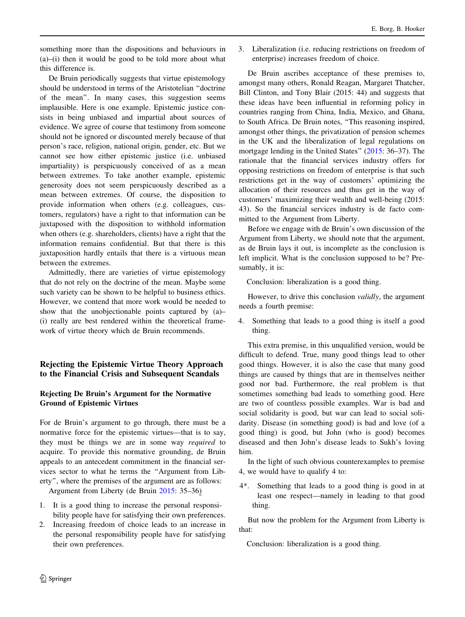<span id="page-4-0"></span>something more than the dispositions and behaviours in (a)–(i) then it would be good to be told more about what this difference is.

De Bruin periodically suggests that virtue epistemology should be understood in terms of the Aristotelian ''doctrine of the mean''. In many cases, this suggestion seems implausible. Here is one example. Epistemic justice consists in being unbiased and impartial about sources of evidence. We agree of course that testimony from someone should not be ignored or discounted merely because of that person's race, religion, national origin, gender, etc. But we cannot see how either epistemic justice (i.e. unbiased impartiality) is perspicuously conceived of as a mean between extremes. To take another example, epistemic generosity does not seem perspicuously described as a mean between extremes. Of course, the disposition to provide information when others (e.g. colleagues, customers, regulators) have a right to that information can be juxtaposed with the disposition to withhold information when others (e.g. shareholders, clients) have a right that the information remains confidential. But that there is this juxtaposition hardly entails that there is a virtuous mean between the extremes.

Admittedly, there are varieties of virtue epistemology that do not rely on the doctrine of the mean. Maybe some such variety can be shown to be helpful to business ethics. However, we contend that more work would be needed to show that the unobjectionable points captured by (a)– (i) really are best rendered within the theoretical framework of virtue theory which de Bruin recommends.

#### Rejecting the Epistemic Virtue Theory Approach to the Financial Crisis and Subsequent Scandals

#### Rejecting De Bruin's Argument for the Normative Ground of Epistemic Virtues

For de Bruin's argument to go through, there must be a normative force for the epistemic virtues—that is to say, they must be things we are in some way required to acquire. To provide this normative grounding, de Bruin appeals to an antecedent commitment in the financial services sector to what he terms the ''Argument from Liberty'', where the premises of the argument are as follows:

Argument from Liberty (de Bruin [2015:](#page-11-0) 35–36)

- 1. It is a good thing to increase the personal responsibility people have for satisfying their own preferences.
- 2. Increasing freedom of choice leads to an increase in the personal responsibility people have for satisfying their own preferences.

3. Liberalization (i.e. reducing restrictions on freedom of enterprise) increases freedom of choice.

De Bruin ascribes acceptance of these premises to, amongst many others, Ronald Reagan, Margaret Thatcher, Bill Clinton, and Tony Blair (2015: 44) and suggests that these ideas have been influential in reforming policy in countries ranging from China, India, Mexico, and Ghana, to South Africa. De Bruin notes, ''This reasoning inspired, amongst other things, the privatization of pension schemes in the UK and the liberalization of legal regulations on mortgage lending in the United States'' ([2015:](#page-11-0) 36–37). The rationale that the financial services industry offers for opposing restrictions on freedom of enterprise is that such restrictions get in the way of customers' optimizing the allocation of their resources and thus get in the way of customers' maximizing their wealth and well-being (2015: 43). So the financial services industry is de facto committed to the Argument from Liberty.

Before we engage with de Bruin's own discussion of the Argument from Liberty, we should note that the argument, as de Bruin lays it out, is incomplete as the conclusion is left implicit. What is the conclusion supposed to be? Presumably, it is:

Conclusion: liberalization is a good thing.

However, to drive this conclusion *validly*, the argument needs a fourth premise:

4. Something that leads to a good thing is itself a good thing.

This extra premise, in this unqualified version, would be difficult to defend. True, many good things lead to other good things. However, it is also the case that many good things are caused by things that are in themselves neither good nor bad. Furthermore, the real problem is that sometimes something bad leads to something good. Here are two of countless possible examples. War is bad and social solidarity is good, but war can lead to social solidarity. Disease (in something good) is bad and love (of a good thing) is good, but John (who is good) becomes diseased and then John's disease leads to Sukh's loving him.

In the light of such obvious counterexamples to premise 4, we would have to qualify 4 to:

4\*. Something that leads to a good thing is good in at least one respect—namely in leading to that good thing.

But now the problem for the Argument from Liberty is that:

Conclusion: liberalization is a good thing.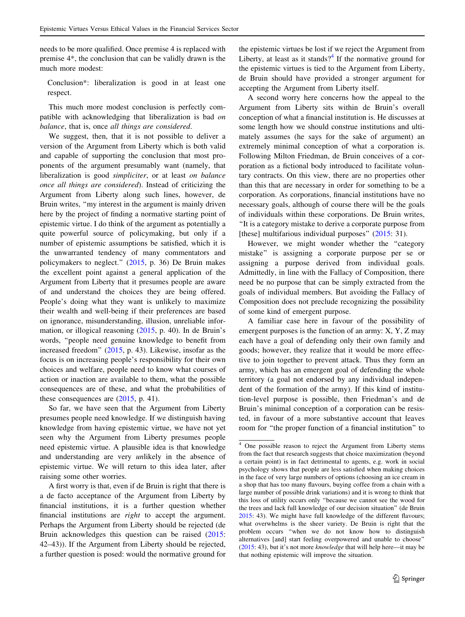needs to be more qualified. Once premise 4 is replaced with premise 4\*, the conclusion that can be validly drawn is the much more modest:

Conclusion\*: liberalization is good in at least one respect.

This much more modest conclusion is perfectly compatible with acknowledging that liberalization is bad on balance, that is, once all things are considered.

We suggest, then, that it is not possible to deliver a version of the Argument from Liberty which is both valid and capable of supporting the conclusion that most proponents of the argument presumably want (namely, that liberalization is good simpliciter, or at least on balance once all things are considered). Instead of criticizing the Argument from Liberty along such lines, however, de Bruin writes, "my interest in the argument is mainly driven here by the project of finding a normative starting point of epistemic virtue. I do think of the argument as potentially a quite powerful source of policymaking, but only if a number of epistemic assumptions be satisfied, which it is the unwarranted tendency of many commentators and policymakers to neglect.'' [\(2015](#page-11-0), p. 36) De Bruin makes the excellent point against a general application of the Argument from Liberty that it presumes people are aware of and understand the choices they are being offered. People's doing what they want is unlikely to maximize their wealth and well-being if their preferences are based on ignorance, misunderstanding, illusion, unreliable information, or illogical reasoning ([2015,](#page-11-0) p. 40). In de Bruin's words, ''people need genuine knowledge to benefit from increased freedom'' [\(2015](#page-11-0), p. 43). Likewise, insofar as the focus is on increasing people's responsibility for their own choices and welfare, people need to know what courses of action or inaction are available to them, what the possible consequences are of these, and what the probabilities of these consequences are [\(2015](#page-11-0), p. 41).

So far, we have seen that the Argument from Liberty presumes people need knowledge. If we distinguish having knowledge from having epistemic virtue, we have not yet seen why the Argument from Liberty presumes people need epistemic virtue. A plausible idea is that knowledge and understanding are very unlikely in the absence of epistemic virtue. We will return to this idea later, after raising some other worries.

A first worry is that, even if de Bruin is right that there is a de facto acceptance of the Argument from Liberty by financial institutions, it is a further question whether financial institutions are *right* to accept the argument. Perhaps the Argument from Liberty should be rejected (de Bruin acknowledges this question can be raised [\(2015](#page-11-0): 42–43)). If the Argument from Liberty should be rejected, a further question is posed: would the normative ground for the epistemic virtues be lost if we reject the Argument from Liberty, at least as it stands?<sup>4</sup> If the normative ground for the epistemic virtues is tied to the Argument from Liberty, de Bruin should have provided a stronger argument for accepting the Argument from Liberty itself.

A second worry here concerns how the appeal to the Argument from Liberty sits within de Bruin's overall conception of what a financial institution is. He discusses at some length how we should construe institutions and ultimately assumes (he says for the sake of argument) an extremely minimal conception of what a corporation is. Following Milton Friedman, de Bruin conceives of a corporation as a fictional body introduced to facilitate voluntary contracts. On this view, there are no properties other than this that are necessary in order for something to be a corporation. As corporations, financial institutions have no necessary goals, although of course there will be the goals of individuals within these corporations. De Bruin writes, ''It is a category mistake to derive a corporate purpose from [these] multifarious individual purposes" ([2015:](#page-11-0) 31).

However, we might wonder whether the "category" mistake'' is assigning a corporate purpose per se or assigning a purpose derived from individual goals. Admittedly, in line with the Fallacy of Composition, there need be no purpose that can be simply extracted from the goals of individual members. But avoiding the Fallacy of Composition does not preclude recognizing the possibility of some kind of emergent purpose.

A familiar case here in favour of the possibility of emergent purposes is the function of an army: X, Y, Z may each have a goal of defending only their own family and goods; however, they realize that it would be more effective to join together to prevent attack. Thus they form an army, which has an emergent goal of defending the whole territory (a goal not endorsed by any individual independent of the formation of the army). If this kind of institution-level purpose is possible, then Friedman's and de Bruin's minimal conception of a corporation can be resisted, in favour of a more substantive account that leaves room for ''the proper function of a financial institution'' to

<sup>4</sup> One possible reason to reject the Argument from Liberty stems from the fact that research suggests that choice maximization (beyond a certain point) is in fact detrimental to agents, e.g. work in social psychology shows that people are less satisfied when making choices in the face of very large numbers of options (choosing an ice cream in a shop that has too many flavours, buying coffee from a chain with a large number of possible drink variations) and it is wrong to think that this loss of utility occurs only ''because we cannot see the wood for the trees and lack full knowledge of our decision situation'' (de Bruin [2015](#page-11-0): 43). We might have full knowledge of the different flavours; what overwhelms is the sheer variety. De Bruin is right that the problem occurs ''when we do not know how to distinguish alternatives [and] start feeling overpowered and unable to choose'' ([2015:](#page-11-0) 43), but it's not more knowledge that will help here—it may be that nothing epistemic will improve the situation.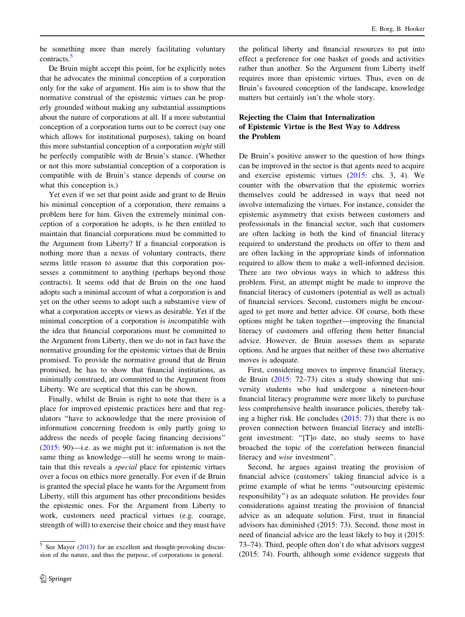be something more than merely facilitating voluntary contracts.<sup>5</sup>

De Bruin might accept this point, for he explicitly notes that he advocates the minimal conception of a corporation only for the sake of argument. His aim is to show that the normative construal of the epistemic virtues can be properly grounded without making any substantial assumptions about the nature of corporations at all. If a more substantial conception of a corporation turns out to be correct (say one which allows for institutional purposes), taking on board this more substantial conception of a corporation might still be perfectly compatible with de Bruin's stance. (Whether or not this more substantial conception of a corporation is compatible with de Bruin's stance depends of course on what this conception is.)

Yet even if we set that point aside and grant to de Bruin his minimal conception of a corporation, there remains a problem here for him. Given the extremely minimal conception of a corporation he adopts, is he then entitled to maintain that financial corporations must be committed to the Argument from Liberty? If a financial corporation is nothing more than a nexus of voluntary contracts, there seems little reason to assume that this corporation possesses a commitment to anything (perhaps beyond those contracts). It seems odd that de Bruin on the one hand adopts such a minimal account of what a corporation is and yet on the other seems to adopt such a substantive view of what a corporation accepts or views as desirable. Yet if the minimal conception of a corporation is incompatible with the idea that financial corporations must be committed to the Argument from Liberty, then we do not in fact have the normative grounding for the epistemic virtues that de Bruin promised. To provide the normative ground that de Bruin promised, he has to show that financial institutions, as minimally construed, are committed to the Argument from Liberty. We are sceptical that this can be shown.

Finally, whilst de Bruin is right to note that there is a place for improved epistemic practices here and that regulators ''have to acknowledge that the mere provision of information concerning freedom is only partly going to address the needs of people facing financing decisions''  $(2015: 90)$  $(2015: 90)$ —i.e. as we might put it: information is not the same thing as knowledge—still he seems wrong to maintain that this reveals a special place for epistemic virtues over a focus on ethics more generally. For even if de Bruin is granted the special place he wants for the Argument from Liberty, still this argument has other preconditions besides the epistemic ones. For the Argument from Liberty to work, customers need practical virtues (e.g. courage, strength of will) to exercise their choice and they must have the political liberty and financial resources to put into effect a preference for one basket of goods and activities rather than another. So the Argument from Liberty itself requires more than epistemic virtues. Thus, even on de Bruin's favoured conception of the landscape, knowledge matters but certainly isn't the whole story.

#### Rejecting the Claim that Internalization of Epistemic Virtue is the Best Way to Address the Problem

De Bruin's positive answer to the question of how things can be improved in the sector is that agents need to acquire and exercise epistemic virtues ([2015:](#page-11-0) chs. 3, 4). We counter with the observation that the epistemic worries themselves could be addressed in ways that need not involve internalizing the virtues. For instance, consider the epistemic asymmetry that exists between customers and professionals in the financial sector, such that customers are often lacking in both the kind of financial literacy required to understand the products on offer to them and are often lacking in the appropriate kinds of information required to allow them to make a well-informed decision. There are two obvious ways in which to address this problem. First, an attempt might be made to improve the financial literacy of customers (potential as well as actual) of financial services. Second, customers might be encouraged to get more and better advice. Of course, both these options might be taken together—improving the financial literacy of customers and offering them better financial advice. However, de Bruin assesses them as separate options. And he argues that neither of these two alternative moves is adequate.

First, considering moves to improve financial literacy, de Bruin [\(2015:](#page-11-0) 72–73) cites a study showing that university students who had undergone a nineteen-hour financial literacy programme were more likely to purchase less comprehensive health insurance policies, thereby taking a higher risk. He concludes ([2015](#page-11-0): 73) that there is no proven connection between financial literacy and intelligent investment: ''[T]o date, no study seems to have broached the topic of the correlation between financial literacy and wise investment''.

Second, he argues against treating the provision of financial advice (customers' taking financial advice is a prime example of what he terms ''outsourcing epistemic responsibility'') as an adequate solution. He provides four considerations against treating the provision of financial advice as an adequate solution. First, trust in financial advisors has diminished (2015: 73). Second, those most in need of financial advice are the least likely to buy it (2015: 73–74). Third, people often don't do what advisors suggest (2015: 74). Fourth, although some evidence suggests that

 $5$  See Mayer ([2013\)](#page-11-0) for an excellent and thought-provoking discussion of the nature, and thus the purpose, of corporations in general.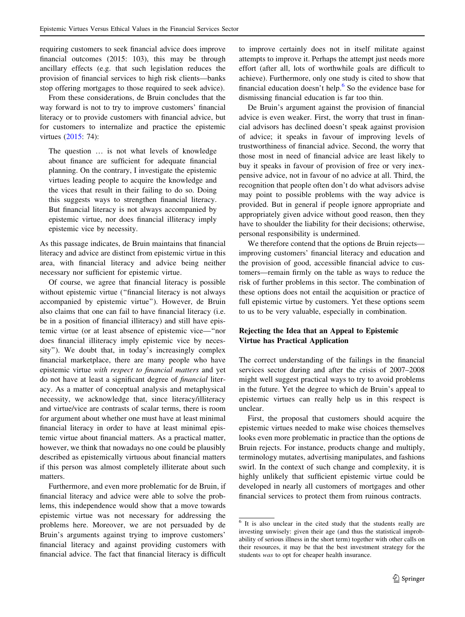requiring customers to seek financial advice does improve financial outcomes (2015: 103), this may be through ancillary effects (e.g. that such legislation reduces the provision of financial services to high risk clients—banks stop offering mortgages to those required to seek advice).

From these considerations, de Bruin concludes that the way forward is not to try to improve customers' financial literacy or to provide customers with financial advice, but for customers to internalize and practice the epistemic virtues ([2015:](#page-11-0) 74):

The question … is not what levels of knowledge about finance are sufficient for adequate financial planning. On the contrary, I investigate the epistemic virtues leading people to acquire the knowledge and the vices that result in their failing to do so. Doing this suggests ways to strengthen financial literacy. But financial literacy is not always accompanied by epistemic virtue, nor does financial illiteracy imply epistemic vice by necessity.

As this passage indicates, de Bruin maintains that financial literacy and advice are distinct from epistemic virtue in this area, with financial literacy and advice being neither necessary nor sufficient for epistemic virtue.

Of course, we agree that financial literacy is possible without epistemic virtue ("financial literacy is not always accompanied by epistemic virtue''). However, de Bruin also claims that one can fail to have financial literacy (i.e. be in a position of financial illiteracy) and still have epistemic virtue (or at least absence of epistemic vice—''nor does financial illiteracy imply epistemic vice by necessity''). We doubt that, in today's increasingly complex financial marketplace, there are many people who have epistemic virtue with respect to financial matters and yet do not have at least a significant degree of financial literacy. As a matter of conceptual analysis and metaphysical necessity, we acknowledge that, since literacy/illiteracy and virtue/vice are contrasts of scalar terms, there is room for argument about whether one must have at least minimal financial literacy in order to have at least minimal epistemic virtue about financial matters. As a practical matter, however, we think that nowadays no one could be plausibly described as epistemically virtuous about financial matters if this person was almost completely illiterate about such matters.

Furthermore, and even more problematic for de Bruin, if financial literacy and advice were able to solve the problems, this independence would show that a move towards epistemic virtue was not necessary for addressing the problems here. Moreover, we are not persuaded by de Bruin's arguments against trying to improve customers' financial literacy and against providing customers with financial advice. The fact that financial literacy is difficult to improve certainly does not in itself militate against attempts to improve it. Perhaps the attempt just needs more effort (after all, lots of worthwhile goals are difficult to achieve). Furthermore, only one study is cited to show that financial education doesn't help. $6$  So the evidence base for dismissing financial education is far too thin.

De Bruin's argument against the provision of financial advice is even weaker. First, the worry that trust in financial advisors has declined doesn't speak against provision of advice; it speaks in favour of improving levels of trustworthiness of financial advice. Second, the worry that those most in need of financial advice are least likely to buy it speaks in favour of provision of free or very inexpensive advice, not in favour of no advice at all. Third, the recognition that people often don't do what advisors advise may point to possible problems with the way advice is provided. But in general if people ignore appropriate and appropriately given advice without good reason, then they have to shoulder the liability for their decisions; otherwise, personal responsibility is undermined.

We therefore contend that the options de Bruin rejects improving customers' financial literacy and education and the provision of good, accessible financial advice to customers—remain firmly on the table as ways to reduce the risk of further problems in this sector. The combination of these options does not entail the acquisition or practice of full epistemic virtue by customers. Yet these options seem to us to be very valuable, especially in combination.

#### Rejecting the Idea that an Appeal to Epistemic Virtue has Practical Application

The correct understanding of the failings in the financial services sector during and after the crisis of 2007–2008 might well suggest practical ways to try to avoid problems in the future. Yet the degree to which de Bruin's appeal to epistemic virtues can really help us in this respect is unclear.

First, the proposal that customers should acquire the epistemic virtues needed to make wise choices themselves looks even more problematic in practice than the options de Bruin rejects. For instance, products change and multiply, terminology mutates, advertising manipulates, and fashions swirl. In the context of such change and complexity, it is highly unlikely that sufficient epistemic virtue could be developed in nearly all customers of mortgages and other financial services to protect them from ruinous contracts.

 $\overline{6}$  It is also unclear in the cited study that the students really are investing unwisely: given their age (and thus the statistical improbability of serious illness in the short term) together with other calls on their resources, it may be that the best investment strategy for the students was to opt for cheaper health insurance.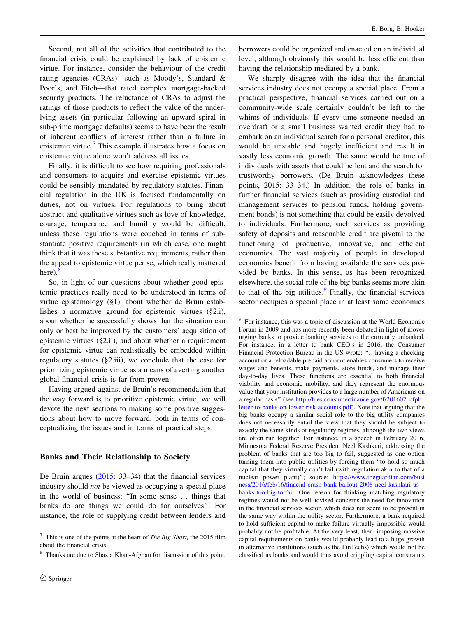Second, not all of the activities that contributed to the financial crisis could be explained by lack of epistemic virtue. For instance, consider the behaviour of the credit rating agencies (CRAs)—such as Moody's, Standard & Poor's, and Fitch—that rated complex mortgage-backed security products. The reluctance of CRAs to adjust the ratings of those products to reflect the value of the underlying assets (in particular following an upward spiral in sub-prime mortgage defaults) seems to have been the result of inherent conflicts of interest rather than a failure in epistemic virtue.<sup>7</sup> This example illustrates how a focus on epistemic virtue alone won't address all issues.

Finally, it is difficult to see how requiring professionals and consumers to acquire and exercise epistemic virtues could be sensibly mandated by regulatory statutes. Financial regulation in the UK is focused fundamentally on duties, not on virtues. For regulations to bring about abstract and qualitative virtues such as love of knowledge, courage, temperance and humility would be difficult, unless these regulations were couched in terms of substantiate positive requirements (in which case, one might think that it was these substantive requirements, rather than the appeal to epistemic virtue per se, which really mattered here). $8$ 

So, in light of our questions about whether good epistemic practices really need to be understood in terms of virtue epistemology (§1), about whether de Bruin establishes a normative ground for epistemic virtues (§2.i), about whether he successfully shows that the situation can only or best be improved by the customers' acquisition of epistemic virtues (§2.ii), and about whether a requirement for epistemic virtue can realistically be embedded within regulatory statutes (§2.iii), we conclude that the case for prioritizing epistemic virtue as a means of averting another global financial crisis is far from proven.

Having argued against de Bruin's recommendation that the way forward is to prioritize epistemic virtue, we will devote the next sections to making some positive suggestions about how to move forward, both in terms of conceptualizing the issues and in terms of practical steps.

#### Banks and Their Relationship to Society

De Bruin argues ([2015:](#page-11-0) 33–34) that the financial services industry should not be viewed as occupying a special place in the world of business: ''In some sense … things that banks do are things we could do for ourselves''. For instance, the role of supplying credit between lenders and

borrowers could be organized and enacted on an individual level, although obviously this would be less efficient than having the relationship mediated by a bank.

We sharply disagree with the idea that the financial services industry does not occupy a special place. From a practical perspective, financial services carried out on a community-wide scale certainly couldn't be left to the whims of individuals. If every time someone needed an overdraft or a small business wanted credit they had to embark on an individual search for a personal creditor, this would be unstable and hugely inefficient and result in vastly less economic growth. The same would be true of individuals with assets that could be lent and the search for trustworthy borrowers. (De Bruin acknowledges these points, 2015: 33–34.) In addition, the role of banks in further financial services (such as providing custodial and management services to pension funds, holding government bonds) is not something that could be easily devolved to individuals. Furthermore, such services as providing safety of deposits and reasonable credit are pivotal to the functioning of productive, innovative, and efficient economies. The vast majority of people in developed economies benefit from having available the services provided by banks. In this sense, as has been recognized elsewhere, the social role of the big banks seems more akin to that of the big utilities. $9$  Finally, the financial services sector occupies a special place in at least some economies

 $7$  This is one of the points at the heart of *The Big Short*, the 2015 film about the financial crisis.

<sup>&</sup>lt;sup>8</sup> Thanks are due to Shazia Khan-Afghan for discussion of this point.

<sup>9</sup> For instance, this was a topic of discussion at the World Economic Forum in 2009 and has more recently been debated in light of moves urging banks to provide banking services to the currently unbanked. For instance, in a letter to bank CEO's in 2016, the Consumer Financial Protection Bureau in the US wrote: ''…having a checking account or a reloadable prepaid account enables consumers to receive wages and benefits, make payments, store funds, and manage their day-to-day lives. These functions are essential to both financial viability and economic mobility, and they represent the enormous value that your institution provides to a large number of Americans on a regular basis'' (see [http://files.consumerfinance.gov/f/201602\\_cfpb\\_](http://files.consumerfinance.gov/f/201602_cfpb_letter-to-banks-on-lower-risk-accounts.pdf) [letter-to-banks-on-lower-risk-accounts.pdf\)](http://files.consumerfinance.gov/f/201602_cfpb_letter-to-banks-on-lower-risk-accounts.pdf). Note that arguing that the big banks occupy a similar social role to the big utility companies does not necessarily entail the view that they should be subject to exactly the same kinds of regulatory regimes, although the two views are often run together. For instance, in a speech in February 2016, Minnesota Federal Reserve President Neel Kashkari, addressing the problem of banks that are too big to fail, suggested as one option turning them into public utilities by forcing them ''to hold so much capital that they virtually can't fail (with regulation akin to that of a nuclear power plant)''; source: [https://www.theguardian.com/busi](https://www.theguardian.com/business/2016/feb/16/finacial-crash-bank-bailout-2008-neel-kashkari-us-banks-too-big-to-fail) [ness/2016/feb/16/finacial-crash-bank-bailout-2008-neel-kashkari-us](https://www.theguardian.com/business/2016/feb/16/finacial-crash-bank-bailout-2008-neel-kashkari-us-banks-too-big-to-fail)[banks-too-big-to-fail.](https://www.theguardian.com/business/2016/feb/16/finacial-crash-bank-bailout-2008-neel-kashkari-us-banks-too-big-to-fail) One reason for thinking matching regulatory regimes would not be well-advised concerns the need for innovation in the financial services sector, which does not seem to be present in the same way within the utility sector. Furthermore, a bank required to hold sufficient capital to make failure virtually impossible would probably not be profitable. At the very least, then, imposing massive capital requirements on banks would probably lead to a huge growth in alternative institutions (such as the FinTechs) which would not be classified as banks and would thus avoid crippling capital constraints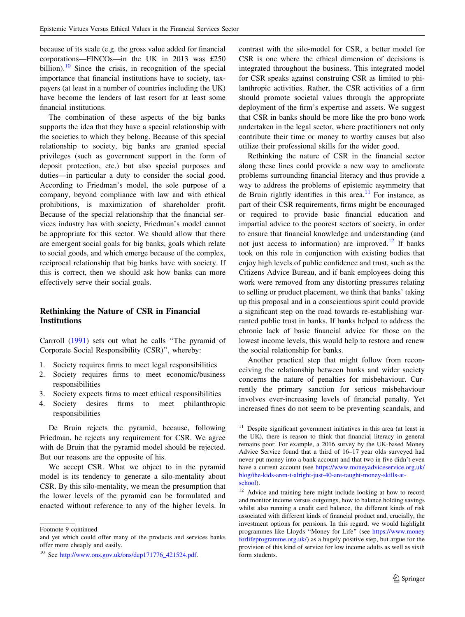because of its scale (e.g. the gross value added for financial corporations—FINCOs—in the UK in 2013 was £250 billion).<sup>10</sup> Since the crisis, in recognition of the special importance that financial institutions have to society, taxpayers (at least in a number of countries including the UK) have become the lenders of last resort for at least some financial institutions.

The combination of these aspects of the big banks supports the idea that they have a special relationship with the societies to which they belong. Because of this special relationship to society, big banks are granted special privileges (such as government support in the form of deposit protection, etc.) but also special purposes and duties—in particular a duty to consider the social good. According to Friedman's model, the sole purpose of a company, beyond compliance with law and with ethical prohibitions, is maximization of shareholder profit. Because of the special relationship that the financial services industry has with society, Friedman's model cannot be appropriate for this sector. We should allow that there are emergent social goals for big banks, goals which relate to social goods, and which emerge because of the complex, reciprocal relationship that big banks have with society. If this is correct, then we should ask how banks can more effectively serve their social goals.

#### Rethinking the Nature of CSR in Financial **Institutions**

Carrroll ([1991\)](#page-11-0) sets out what he calls ''The pyramid of Corporate Social Responsibility (CSR)'', whereby:

- 1. Society requires firms to meet legal responsibilities
- 2. Society requires firms to meet economic/business responsibilities
- 3. Society expects firms to meet ethical responsibilities
- 4. Society desires firms to meet philanthropic responsibilities

De Bruin rejects the pyramid, because, following Friedman, he rejects any requirement for CSR. We agree with de Bruin that the pyramid model should be rejected. But our reasons are the opposite of his.

We accept CSR. What we object to in the pyramid model is its tendency to generate a silo-mentality about CSR. By this silo-mentality, we mean the presumption that the lower levels of the pyramid can be formulated and enacted without reference to any of the higher levels. In contrast with the silo-model for CSR, a better model for CSR is one where the ethical dimension of decisions is integrated throughout the business. This integrated model for CSR speaks against construing CSR as limited to philanthropic activities. Rather, the CSR activities of a firm should promote societal values through the appropriate deployment of the firm's expertise and assets. We suggest that CSR in banks should be more like the pro bono work undertaken in the legal sector, where practitioners not only contribute their time or money to worthy causes but also utilize their professional skills for the wider good.

Rethinking the nature of CSR in the financial sector along these lines could provide a new way to ameliorate problems surrounding financial literacy and thus provide a way to address the problems of epistemic asymmetry that de Bruin rightly identifies in this area. $11$  For instance, as part of their CSR requirements, firms might be encouraged or required to provide basic financial education and impartial advice to the poorest sectors of society, in order to ensure that financial knowledge and understanding (and not just access to information) are improved.<sup>12</sup> If banks took on this role in conjunction with existing bodies that enjoy high levels of public confidence and trust, such as the Citizens Advice Bureau, and if bank employees doing this work were removed from any distorting pressures relating to selling or product placement, we think that banks' taking up this proposal and in a conscientious spirit could provide a significant step on the road towards re-establishing warranted public trust in banks. If banks helped to address the chronic lack of basic financial advice for those on the lowest income levels, this would help to restore and renew the social relationship for banks.

Another practical step that might follow from reconceiving the relationship between banks and wider society concerns the nature of penalties for misbehaviour. Currently the primary sanction for serious misbehaviour involves ever-increasing levels of financial penalty. Yet increased fines do not seem to be preventing scandals, and

Footnote 9 continued

and yet which could offer many of the products and services banks offer more cheaply and easily.

<sup>10</sup> See [http://www.ons.gov.uk/ons/dcp171776\\_421524.pdf.](http://www.ons.gov.uk/ons/dcp171776_421524.pdf)

<sup>&</sup>lt;sup>11</sup> Despite significant government initiatives in this area (at least in the UK), there is reason to think that financial literacy in general remains poor. For example, a 2016 survey by the UK-based Money Advice Service found that a third of 16–17 year olds surveyed had never put money into a bank account and that two in five didn't even have a current account (see [https://www.moneyadviceservice.org.uk/](https://www.moneyadviceservice.org.uk/blog/the-kids-aren-t-alright-just-40-are-taught-money-skills-at-school) [blog/the-kids-aren-t-alright-just-40-are-taught-money-skills-at](https://www.moneyadviceservice.org.uk/blog/the-kids-aren-t-alright-just-40-are-taught-money-skills-at-school)[school](https://www.moneyadviceservice.org.uk/blog/the-kids-aren-t-alright-just-40-are-taught-money-skills-at-school)).

<sup>&</sup>lt;sup>12</sup> Advice and training here might include looking at how to record and monitor income versus outgoings, how to balance holding savings whilst also running a credit card balance, the different kinds of risk associated with different kinds of financial product and, crucially, the investment options for pensions. In this regard, we would highlight programmes like Lloyds ''Money for Life'' (see [https://www.money](https://www.moneyforlifeprogramme.org.uk/) [forlifeprogramme.org.uk/\)](https://www.moneyforlifeprogramme.org.uk/) as a hugely positive step, but argue for the provision of this kind of service for low income adults as well as sixth form students.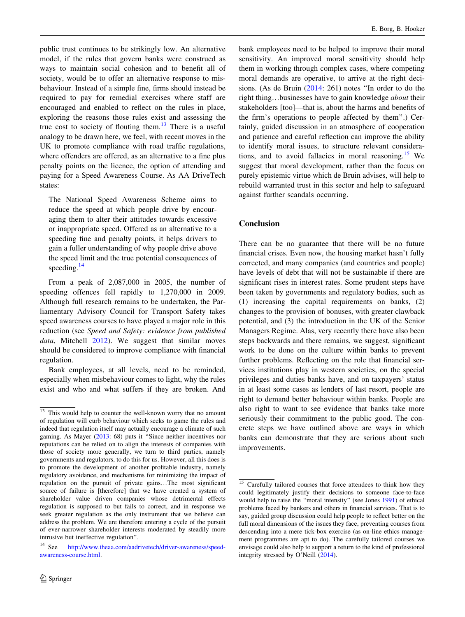public trust continues to be strikingly low. An alternative model, if the rules that govern banks were construed as ways to maintain social cohesion and to benefit all of society, would be to offer an alternative response to misbehaviour. Instead of a simple fine, firms should instead be required to pay for remedial exercises where staff are encouraged and enabled to reflect on the rules in place, exploring the reasons those rules exist and assessing the true cost to society of flouting them.<sup>13</sup> There is a useful analogy to be drawn here, we feel, with recent moves in the UK to promote compliance with road traffic regulations, where offenders are offered, as an alternative to a fine plus penalty points on the licence, the option of attending and paying for a Speed Awareness Course. As AA DriveTech states:

The National Speed Awareness Scheme aims to reduce the speed at which people drive by encouraging them to alter their attitudes towards excessive or inappropriate speed. Offered as an alternative to a speeding fine and penalty points, it helps drivers to gain a fuller understanding of why people drive above the speed limit and the true potential consequences of speeding. $^{14}$ 

From a peak of 2,087,000 in 2005, the number of speeding offences fell rapidly to 1,270,000 in 2009. Although full research remains to be undertaken, the Parliamentary Advisory Council for Transport Safety takes speed awareness courses to have played a major role in this reduction (see Speed and Safety: evidence from published data, Mitchell [2012](#page-11-0)). We suggest that similar moves should be considered to improve compliance with financial regulation.

Bank employees, at all levels, need to be reminded, especially when misbehaviour comes to light, why the rules exist and who and what suffers if they are broken. And

bank employees need to be helped to improve their moral sensitivity. An improved moral sensitivity should help them in working through complex cases, where competing moral demands are operative, to arrive at the right decisions. (As de Bruin ([2014:](#page-11-0) 261) notes ''In order to do the right thing…businesses have to gain knowledge about their stakeholders [too]—that is, about the harms and benefits of the firm's operations to people affected by them''.) Certainly, guided discussion in an atmosphere of cooperation and patience and careful reflection can improve the ability to identify moral issues, to structure relevant considerations, and to avoid fallacies in moral reasoning.<sup>15</sup> We suggest that moral development, rather than the focus on purely epistemic virtue which de Bruin advises, will help to rebuild warranted trust in this sector and help to safeguard against further scandals occurring.

#### Conclusion

There can be no guarantee that there will be no future financial crises. Even now, the housing market hasn't fully corrected, and many companies (and countries and people) have levels of debt that will not be sustainable if there are significant rises in interest rates. Some prudent steps have been taken by governments and regulatory bodies, such as (1) increasing the capital requirements on banks, (2) changes to the provision of bonuses, with greater clawback potential, and (3) the introduction in the UK of the Senior Managers Regime. Alas, very recently there have also been steps backwards and there remains, we suggest, significant work to be done on the culture within banks to prevent further problems. Reflecting on the role that financial services institutions play in western societies, on the special privileges and duties banks have, and on taxpayers' status in at least some cases as lenders of last resort, people are right to demand better behaviour within banks. People are also right to want to see evidence that banks take more seriously their commitment to the public good. The concrete steps we have outlined above are ways in which banks can demonstrate that they are serious about such improvements.

<sup>&</sup>lt;sup>13</sup> This would help to counter the well-known worry that no amount of regulation will curb behaviour which seeks to game the rules and indeed that regulation itself may actually encourage a climate of such gaming. As Mayer [\(2013](#page-11-0): 68) puts it "Since neither incentives nor reputations can be relied on to align the interests of companies with those of society more generally, we turn to third parties, namely governments and regulators, to do this for us. However, all this does is to promote the development of another profitable industry, namely regulatory avoidance, and mechanisms for minimizing the impact of regulation on the pursuit of private gains…The most significant source of failure is [therefore] that we have created a system of shareholder value driven companies whose detrimental effects regulation is supposed to but fails to correct, and in response we seek greater regulation as the only instrument that we believe can address the problem. We are therefore entering a cycle of the pursuit of ever-narrower shareholder interests moderated by steadily more intrusive but ineffective regulation''.

<sup>14</sup> See [http://www.theaa.com/aadrivetech/driver-awareness/speed](http://www.theaa.com/aadrivetech/driver-awareness/speed-awareness-course.html)[awareness-course.html.](http://www.theaa.com/aadrivetech/driver-awareness/speed-awareness-course.html)

<sup>&</sup>lt;sup>15</sup> Carefully tailored courses that force attendees to think how they could legitimately justify their decisions to someone face-to-face would help to raise the ''moral intensity'' (see Jones [1991](#page-11-0)) of ethical problems faced by bankers and others in financial services. That is to say, guided group discussion could help people to reflect better on the full moral dimensions of the issues they face, preventing courses from descending into a mere tick-box exercise (as on-line ethics management programmes are apt to do). The carefully tailored courses we envisage could also help to support a return to the kind of professional integrity stressed by O'Neill [\(2014](#page-11-0)).